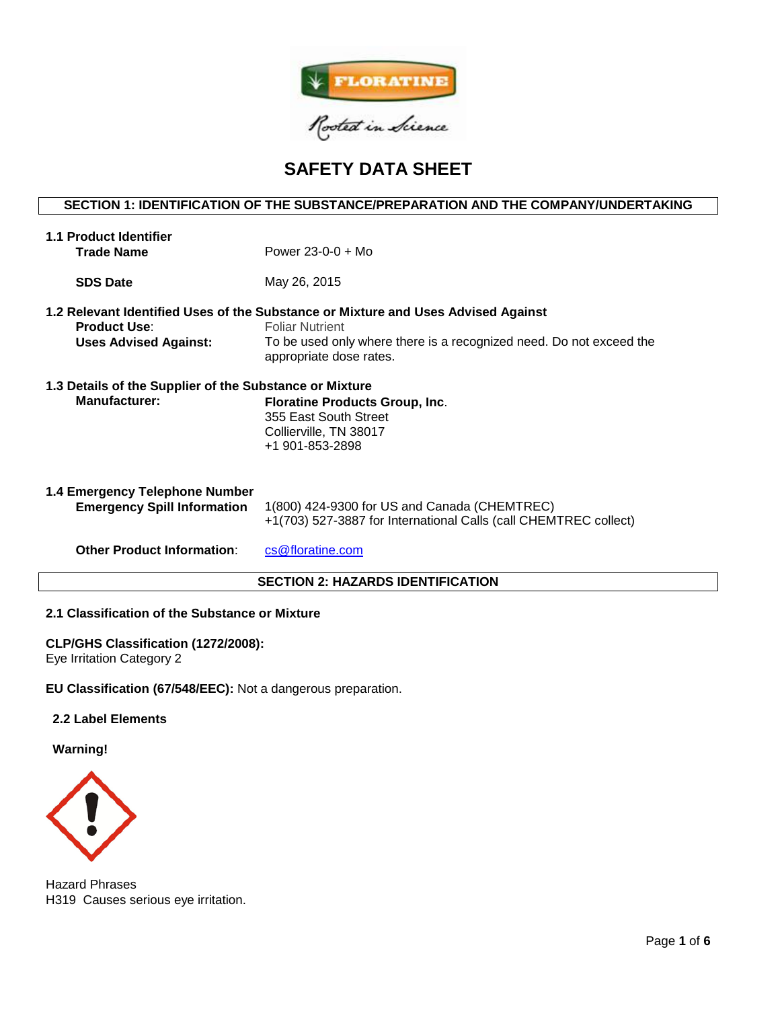

# **SAFETY DATA SHEET**

## **SECTION 1: IDENTIFICATION OF THE SUBSTANCE/PREPARATION AND THE COMPANY/UNDERTAKING**

| <b>1.1 Product Identifier</b><br><b>Trade Name</b>                              | Power $23-0-0 + Mo$                                                                                                                                                                                           |  |  |  |
|---------------------------------------------------------------------------------|---------------------------------------------------------------------------------------------------------------------------------------------------------------------------------------------------------------|--|--|--|
| <b>SDS Date</b>                                                                 | May 26, 2015                                                                                                                                                                                                  |  |  |  |
| <b>Product Use:</b><br><b>Uses Advised Against:</b>                             | 1.2 Relevant Identified Uses of the Substance or Mixture and Uses Advised Against<br><b>Foliar Nutrient</b><br>To be used only where there is a recognized need. Do not exceed the<br>appropriate dose rates. |  |  |  |
| 1.3 Details of the Supplier of the Substance or Mixture<br><b>Manufacturer:</b> | <b>Floratine Products Group, Inc.</b><br>355 East South Street<br>Collierville, TN 38017<br>+1 901-853-2898                                                                                                   |  |  |  |
| 1.4 Emergency Telephone Number<br><b>Emergency Spill Information</b>            | 1(800) 424-9300 for US and Canada (CHEMTREC)<br>+1(703) 527-3887 for International Calls (call CHEMTREC collect)                                                                                              |  |  |  |
| <b>Other Product Information:</b>                                               | cs@floratine.com                                                                                                                                                                                              |  |  |  |
| <b>SECTION 2: HAZARDS IDENTIFICATION</b>                                        |                                                                                                                                                                                                               |  |  |  |

## **2.1 Classification of the Substance or Mixture**

## **CLP/GHS Classification (1272/2008):**

Eye Irritation Category 2

**EU Classification (67/548/EEC):** Not a dangerous preparation.

## **2.2 Label Elements**

**Warning!**



Hazard Phrases H319 Causes serious eye irritation.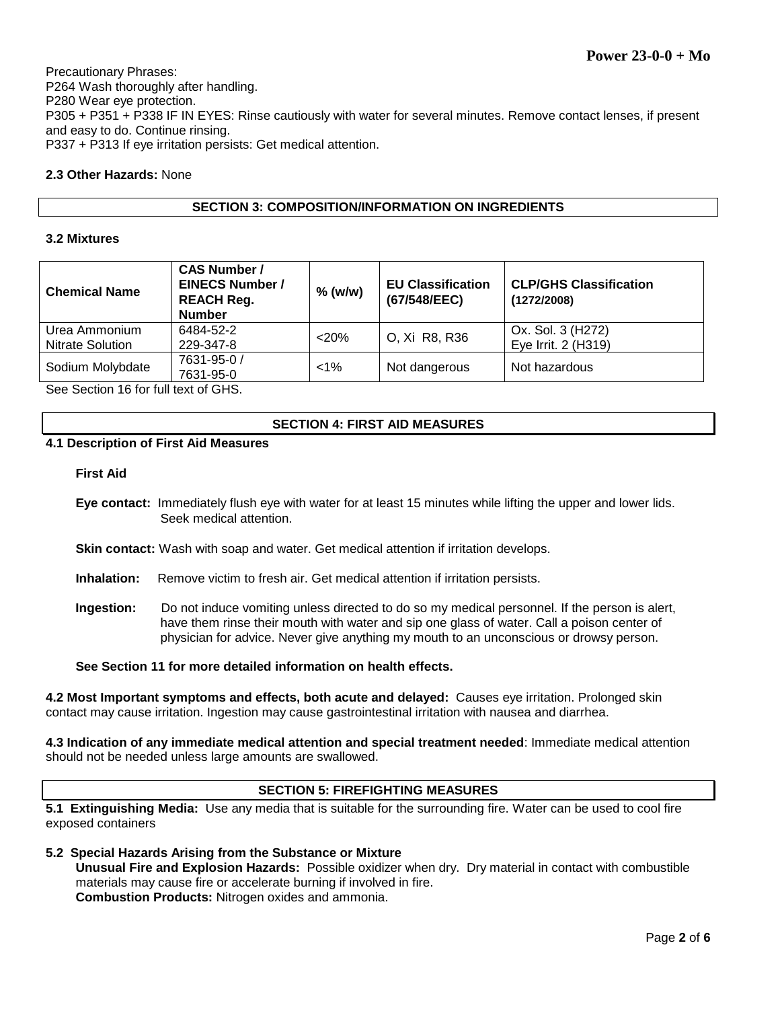Precautionary Phrases: P264 Wash thoroughly after handling. P280 Wear eye protection. P305 + P351 + P338 IF IN EYES: Rinse cautiously with water for several minutes. Remove contact lenses, if present and easy to do. Continue rinsing. P337 + P313 If eye irritation persists: Get medical attention.

## **2.3 Other Hazards:** None

## **SECTION 3: COMPOSITION/INFORMATION ON INGREDIENTS**

#### **3.2 Mixtures**

| <b>Chemical Name</b>                     | <b>CAS Number /</b><br><b>EINECS Number /</b><br><b>REACH Reg.</b><br><b>Number</b> | $%$ (w/w) | <b>EU Classification</b><br>(67/548/EEC) | <b>CLP/GHS Classification</b><br>(1272/2008) |
|------------------------------------------|-------------------------------------------------------------------------------------|-----------|------------------------------------------|----------------------------------------------|
| Urea Ammonium<br><b>Nitrate Solution</b> | 6484-52-2<br>229-347-8                                                              | $<$ 20%   | O, Xi R8, R36                            | Ox. Sol. 3 (H272)<br>Eye Irrit. 2 (H319)     |
| Sodium Molybdate                         | 7631-95-0 /<br>7631-95-0                                                            | $< 1\%$   | Not dangerous                            | Not hazardous                                |

See Section 16 for full text of GHS.

## **SECTION 4: FIRST AID MEASURES**

#### **4.1 Description of First Aid Measures**

#### **First Aid**

**Eye contact:** Immediately flush eye with water for at least 15 minutes while lifting the upper and lower lids. Seek medical attention.

**Skin contact:** Wash with soap and water. Get medical attention if irritation develops.

- **Inhalation:** Remove victim to fresh air. Get medical attention if irritation persists.
- **Ingestion:** Do not induce vomiting unless directed to do so my medical personnel. If the person is alert, have them rinse their mouth with water and sip one glass of water. Call a poison center of physician for advice. Never give anything my mouth to an unconscious or drowsy person.

**See Section 11 for more detailed information on health effects.**

**4.2 Most Important symptoms and effects, both acute and delayed:** Causes eye irritation. Prolonged skin contact may cause irritation. Ingestion may cause gastrointestinal irritation with nausea and diarrhea.

**4.3 Indication of any immediate medical attention and special treatment needed**: Immediate medical attention should not be needed unless large amounts are swallowed.

#### **SECTION 5: FIREFIGHTING MEASURES**

**5.1 Extinguishing Media:** Use any media that is suitable for the surrounding fire. Water can be used to cool fire exposed containers

## **5.2 Special Hazards Arising from the Substance or Mixture**

**Unusual Fire and Explosion Hazards:** Possible oxidizer when dry. Dry material in contact with combustible materials may cause fire or accelerate burning if involved in fire. **Combustion Products:** Nitrogen oxides and ammonia.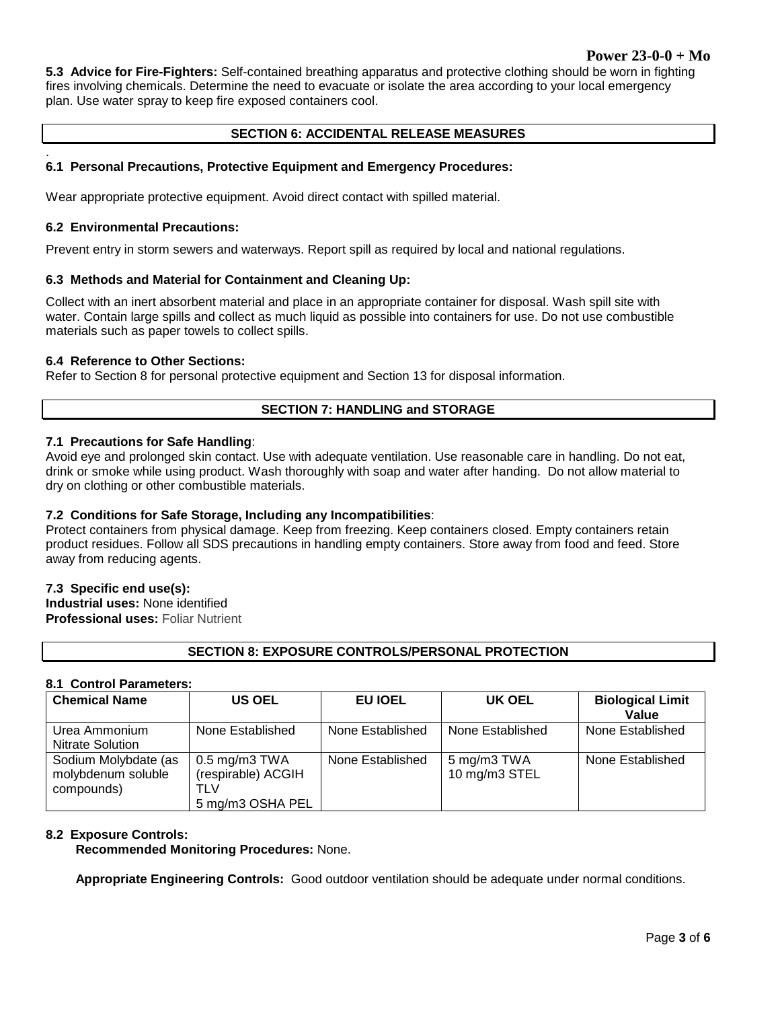## **Power 23-0-0 + Mo**

**5.3 Advice for Fire-Fighters:** Self-contained breathing apparatus and protective clothing should be worn in fighting fires involving chemicals. Determine the need to evacuate or isolate the area according to your local emergency plan. Use water spray to keep fire exposed containers cool.

## **SECTION 6: ACCIDENTAL RELEASE MEASURES**

#### . **6.1 Personal Precautions, Protective Equipment and Emergency Procedures:**

Wear appropriate protective equipment. Avoid direct contact with spilled material.

#### **6.2 Environmental Precautions:**

Prevent entry in storm sewers and waterways. Report spill as required by local and national regulations.

#### **6.3 Methods and Material for Containment and Cleaning Up:**

Collect with an inert absorbent material and place in an appropriate container for disposal. Wash spill site with water. Contain large spills and collect as much liquid as possible into containers for use. Do not use combustible materials such as paper towels to collect spills.

#### **6.4 Reference to Other Sections:**

Refer to Section 8 for personal protective equipment and Section 13 for disposal information.

## **SECTION 7: HANDLING and STORAGE**

## **7.1 Precautions for Safe Handling**:

Avoid eye and prolonged skin contact. Use with adequate ventilation. Use reasonable care in handling. Do not eat, drink or smoke while using product. Wash thoroughly with soap and water after handing. Do not allow material to dry on clothing or other combustible materials.

#### **7.2 Conditions for Safe Storage, Including any Incompatibilities**:

Protect containers from physical damage. Keep from freezing. Keep containers closed. Empty containers retain product residues. Follow all SDS precautions in handling empty containers. Store away from food and feed. Store away from reducing agents.

#### **7.3 Specific end use(s):**

**Industrial uses:** None identified **Professional uses:** Foliar Nutrient

## **SECTION 8: EXPOSURE CONTROLS/PERSONAL PROTECTION**

#### **8.1 Control Parameters:**

| <b>Chemical Name</b>                                     | <b>US OEL</b>                                                            | EU IOEL          | UK OEL                       | <b>Biological Limit</b><br>Value |
|----------------------------------------------------------|--------------------------------------------------------------------------|------------------|------------------------------|----------------------------------|
| Urea Ammonium<br>Nitrate Solution                        | None Established                                                         | None Established | None Established             | None Established                 |
| Sodium Molybdate (as<br>molybdenum soluble<br>compounds) | $0.5 \text{ mg/m}3$ TWA<br>(respirable) ACGIH<br>TLV<br>5 mg/m3 OSHA PEL | None Established | 5 mg/m3 TWA<br>10 mg/m3 STEL | None Established                 |

#### **8.2 Exposure Controls:**

**Recommended Monitoring Procedures:** None.

**Appropriate Engineering Controls:** Good outdoor ventilation should be adequate under normal conditions.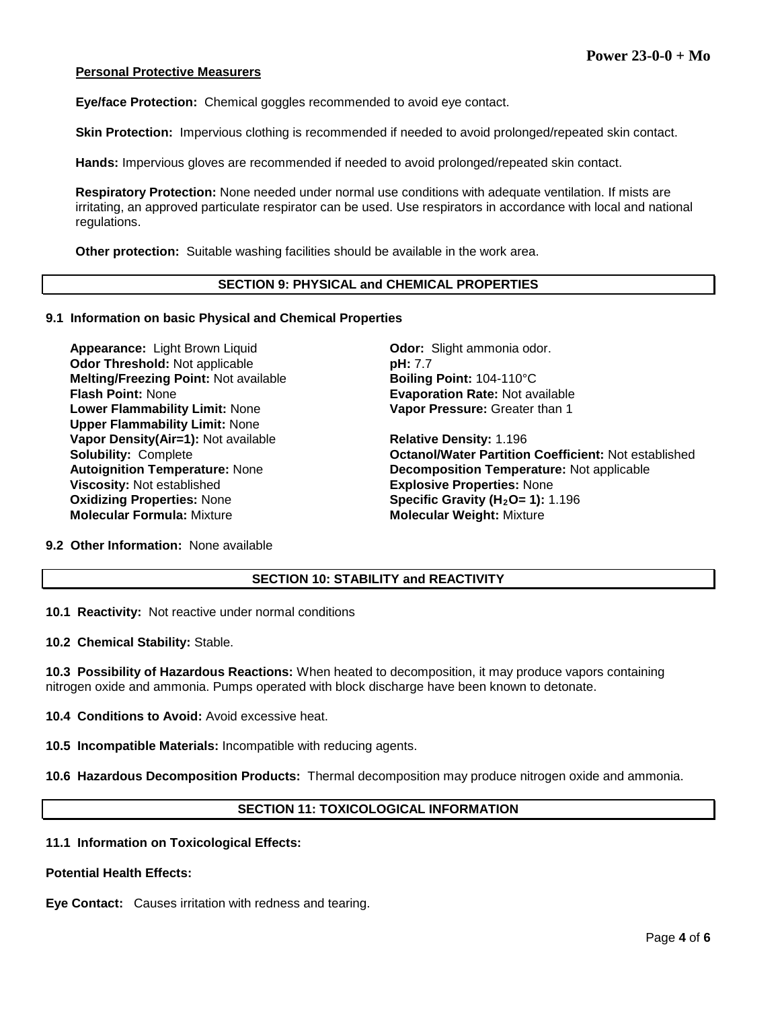#### **Personal Protective Measurers**

**Eye/face Protection:** Chemical goggles recommended to avoid eye contact.

**Skin Protection:** Impervious clothing is recommended if needed to avoid prolonged/repeated skin contact.

**Hands:** Impervious gloves are recommended if needed to avoid prolonged/repeated skin contact.

**Respiratory Protection:** None needed under normal use conditions with adequate ventilation. If mists are irritating, an approved particulate respirator can be used. Use respirators in accordance with local and national regulations.

**Other protection:** Suitable washing facilities should be available in the work area.

#### **SECTION 9: PHYSICAL and CHEMICAL PROPERTIES**

#### **9.1 Information on basic Physical and Chemical Properties**

**Appearance:** Light Brown Liquid **Communist Codor:** Slight ammonia odor. **Odor Threshold:** Not applicable **pH: 7.7 Melting/Freezing Point: Not available <b>Boiling Point: 104-110°C Flash Point:** None **Evaporation Rate:** Not available **Lower Flammability Limit:** None **Upper Flammability Limit:** None **Vapor Density(Air=1):** Not available **Relative Density:** 1.196 **Viscosity:** Not established **Explosive Properties:** None **Oxidizing Properties: None <b>Specific Gravity (H<sub>2</sub>O= 1):** 1.196 **Molecular Formula:** Mixture **Molecular Weight:** Mixture

**Vapor Pressure:** Greater than 1

**Solubility:** Complete **Octanol/Water Partition Coefficient:** Not established **Autoignition Temperature:** Not applicable **Decomposition Temperature: Not applicable** 

**9.2 Other Information:** None available

## **SECTION 10: STABILITY and REACTIVITY**

**10.1 Reactivity:** Not reactive under normal conditions

**10.2 Chemical Stability:** Stable.

**10.3 Possibility of Hazardous Reactions:** When heated to decomposition, it may produce vapors containing nitrogen oxide and ammonia. Pumps operated with block discharge have been known to detonate.

**10.4 Conditions to Avoid:** Avoid excessive heat.

**10.5 Incompatible Materials:** Incompatible with reducing agents.

**10.6 Hazardous Decomposition Products:** Thermal decomposition may produce nitrogen oxide and ammonia.

## **SECTION 11: TOXICOLOGICAL INFORMATION**

#### **11.1 Information on Toxicological Effects:**

**Potential Health Effects:**

**Eye Contact:** Causes irritation with redness and tearing.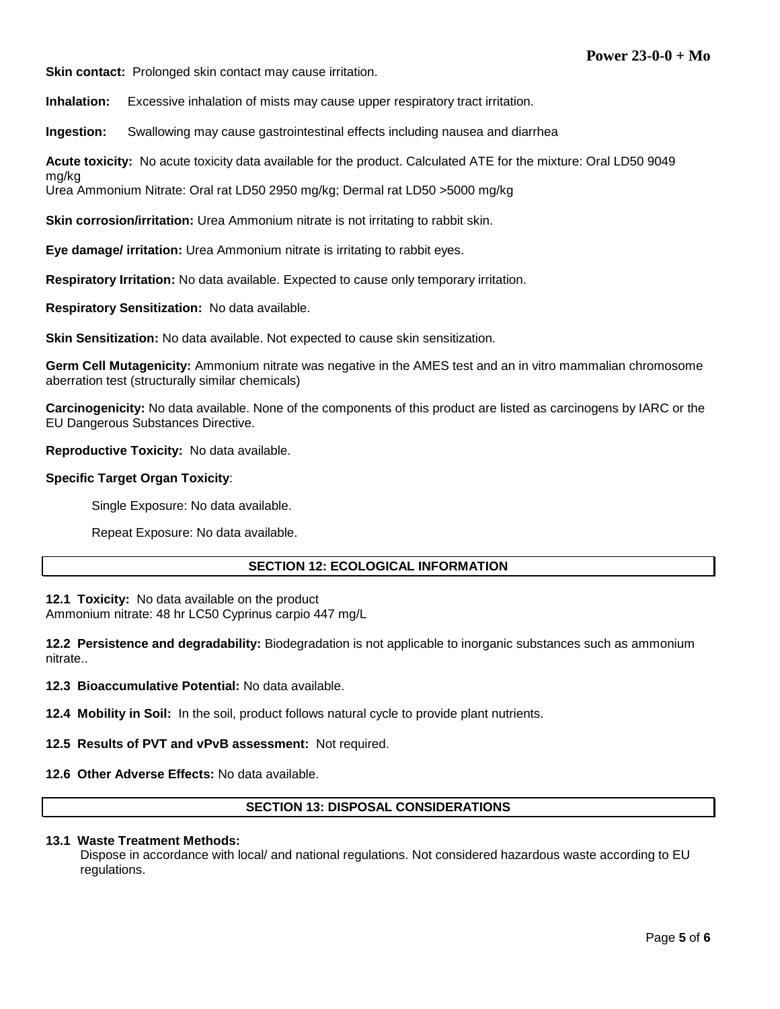**Skin contact:** Prolonged skin contact may cause irritation.

**Inhalation:** Excessive inhalation of mists may cause upper respiratory tract irritation.

**Ingestion:** Swallowing may cause gastrointestinal effects including nausea and diarrhea

**Acute toxicity:** No acute toxicity data available for the product. Calculated ATE for the mixture: Oral LD50 9049

Urea Ammonium Nitrate: Oral rat LD50 2950 mg/kg; Dermal rat LD50 >5000 mg/kg

**Skin corrosion/irritation:** Urea Ammonium nitrate is not irritating to rabbit skin.

**Eye damage/ irritation:** Urea Ammonium nitrate is irritating to rabbit eyes.

**Respiratory Irritation:** No data available. Expected to cause only temporary irritation.

**Respiratory Sensitization:** No data available.

**Skin Sensitization:** No data available. Not expected to cause skin sensitization.

**Germ Cell Mutagenicity:** Ammonium nitrate was negative in the AMES test and an in vitro mammalian chromosome aberration test (structurally similar chemicals)

**Carcinogenicity:** No data available. None of the components of this product are listed as carcinogens by IARC or the EU Dangerous Substances Directive.

**Reproductive Toxicity:** No data available.

#### **Specific Target Organ Toxicity**:

mg/kg

Single Exposure: No data available.

Repeat Exposure: No data available.

#### **SECTION 12: ECOLOGICAL INFORMATION**

**12.1 Toxicity:** No data available on the product Ammonium nitrate: 48 hr LC50 Cyprinus carpio 447 mg/L

**12.2 Persistence and degradability:** Biodegradation is not applicable to inorganic substances such as ammonium nitrate..

**12.3 Bioaccumulative Potential:** No data available.

**12.4 Mobility in Soil:** In the soil, product follows natural cycle to provide plant nutrients.

**12.5 Results of PVT and vPvB assessment:** Not required.

#### **12.6 Other Adverse Effects:** No data available.

## **SECTION 13: DISPOSAL CONSIDERATIONS**

#### **13.1 Waste Treatment Methods:**

Dispose in accordance with local/ and national regulations. Not considered hazardous waste according to EU regulations.